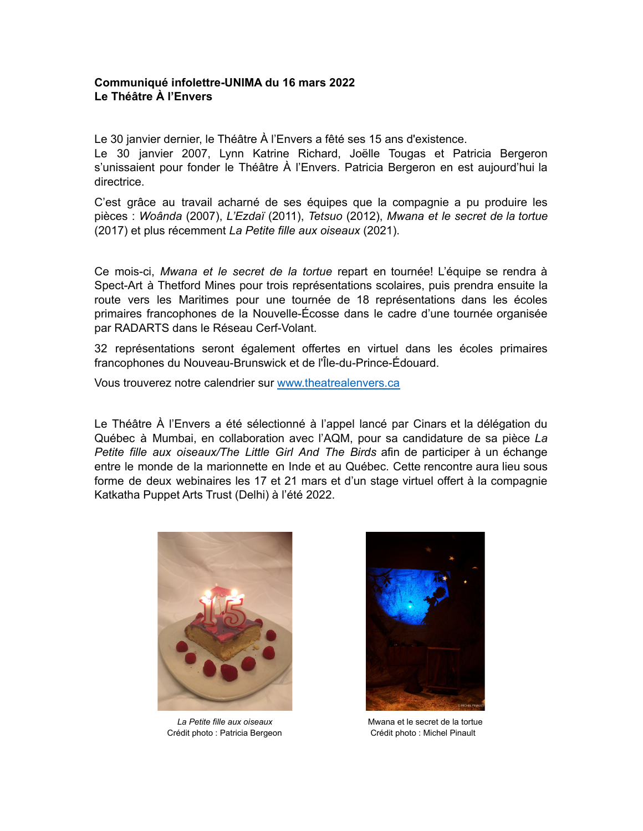## **Communiqué infolettre-UNIMA du 16 mars 2022 Le Théâtre À l'Envers**

Le 30 janvier dernier, le Théâtre À l'Envers a fêté ses 15 ans d'existence.

Le 30 janvier 2007, Lynn Katrine Richard, Joëlle Tougas et Patricia Bergeron s'unissaient pour fonder le Théâtre À l'Envers. Patricia Bergeron en est aujourd'hui la directrice.

C'est grâce au travail acharné de ses équipes que la compagnie a pu produire les pièces : *Woânda* (2007), *L'Ezdaï* (2011), *Tetsuo* (2012), *Mwana et le secret de la tortue* (2017) et plus récemment *La Petite fille aux oiseaux* (2021).

Ce mois-ci, *Mwana et le secret de la tortue* repart en tournée! L'équipe se rendra à Spect-Art à Thetford Mines pour trois représentations scolaires, puis prendra ensuite la route vers les Maritimes pour une tournée de 18 représentations dans les écoles primaires francophones de la Nouvelle-Écosse dans le cadre d'une tournée organisée par RADARTS dans le Réseau Cerf-Volant.

32 représentations seront également offertes en virtuel dans les écoles primaires francophones du Nouveau-Brunswick et de l'Île-du-Prince-Édouard.

Vous trouverez notre calendrier sur [www.theatrealenvers.ca](http://www.theatrealenvers.ca)

Le Théâtre À l'Envers a été sélectionné à l'appel lancé par Cinars et la délégation du Québec à Mumbai, en collaboration avec l'AQM, pour sa candidature de sa pièce *La Petite fille aux oiseaux/The Little Girl And The Birds* afin de participer à un échange entre le monde de la marionnette en Inde et au Québec. Cette rencontre aura lieu sous forme de deux webinaires les 17 et 21 mars et d'un stage virtuel offert à la compagnie Katkatha Puppet Arts Trust (Delhi) à l'été 2022.



Crédit photo : Patricia Bergeon Crédit photo : Michel Pinault



La Petite fille aux oiseaux<br>
Mwana et le secret de la tortue